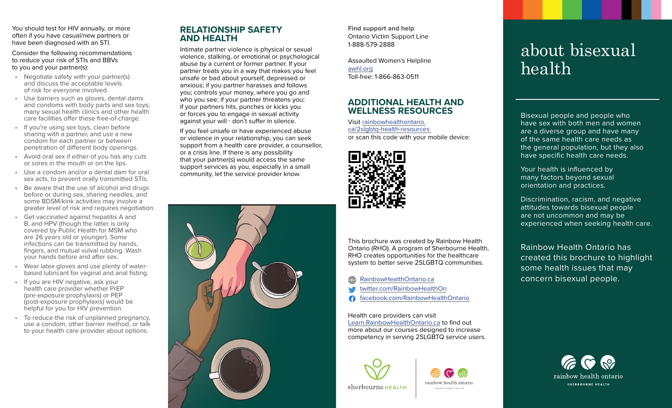You should test for HIV annually, or more often if you have casual/new partners or have been diagnosed with an STI.

Consider the following recommendations to reduce your risk of STIs and BBVs to you and your partner(s):

- Negotiate safety with your partner(s) and discuss the acceptable levels of risk for everyone involved.
- Use barriers such as gloves, dental dams and condoms with body parts and sex toys; many sexual health clinics and other health care facilities offer these free-of-charge.
- If you're using sex toys, clean before sharing with a partner, and use a new condom for each partner or between penetration of different body openings.
- Avoid oral sex if either of you has any cuts or sores in the mouth or on the lips.
- Use a condom and/or a dental dam for oral sex acts, to prevent orally transmitted STIs.
- Be aware that the use of alcohol and drugs before or during sex, sharing needles, and some BDSM/kink activities may involve a greater level of risk and requires negotiation.
- Get vaccinated against hepatitis A and B, and HPV (though the latter is only covered by Public Health for MSM who are 26 years old or younger). Some infections can be transmitted by hands, fingers, and mutual vulval rubbing. Wash your hands before and after sex.
- Wear latex gloves and use plenty of waterbased lubricant for vaginal and anal fisting.
- If you are HIV negative, ask your health care provider whether PrEP (pre-exposure prophylaxis) or PEP (post-exposure prophylaxis) would be helpful for you for HIV prevention.
- To reduce the risk of unplanned pregnancy, use a condom, other barrier method, or talk to your health care provider about options.

# **RELATIONSHIP SAFETY AND HEALTH**

Intimate partner violence is physical or sexual violence, stalking, or emotional or psychological abuse by a current or former partner. If your partner treats you in a way that makes you feel unsafe or bad about yourself, depressed or anxious; if you partner harasses and follows you; controls your money, where you go and who you see; if your partner threatens you; if your partners hits, punches or kicks you or forces you to engage in sexual activity against your will - don't suffer in silence.

If you feel unsafe or have experienced abuse or violence in your relationship, you can seek support from a health care provider, a counsellor, or a crisis line. If there is any possibility that your partner(s) would access the same support services as you, especially in a small community, let the service provider know.



**Find support and help** Ontario Victim Support Line 1-888-579-2888

Assaulted Women's Helpline [awhl.org](http://awhl.org) Toll-free: 1-866-863-0511

## **ADDITIONAL HEALTH AND WELLNESS RESOURCES**

Visit [rainbowhealthontario.](http://rainbowhealthontario.ca/2slgbtq-health-resources  ) [ca/2slgbtq-health-resources](http://rainbowhealthontario.ca/2slgbtq-health-resources  )  or scan this code with your mobile device:



This brochure was created by Rainbow Health Ontario (RHO). A program of Sherbourne Health, RHO creates opportunities for the healthcare system to better serve 2SLGBTQ communities.

- [RainbowHealthOntario.ca](http://RainbowHealthOntario.ca)
- [twitter.com/RainbowHealthOn](http://twitter.com/RainbowHealthOn)
- [facebook.com/RainbowHealthOntario](http://facebook.com/RainbowHealthOntario)

Health care providers can visit [Learn.RainbowHealthOntario.ca](http://Learn.RainbowHealthOntario.ca) to find out more about our courses designed to increase competency in serving 2SLGBTQ service users.

rainhow health ontario

CHERROMANE HEALTH



about bisexual health

Bisexual people and people who have sex with both men and women are a diverse group and have many of the same health care needs as the general population, but they also have specific health care needs.

Your health is influenced by many factors beyond sexual orientation and practices.

Discrimination, racism, and negative attitudes towards bisexual people are not uncommon and may be experienced when seeking health care.

Rainbow Health Ontario has created this brochure to highlight some health issues that may concern bisexual people.